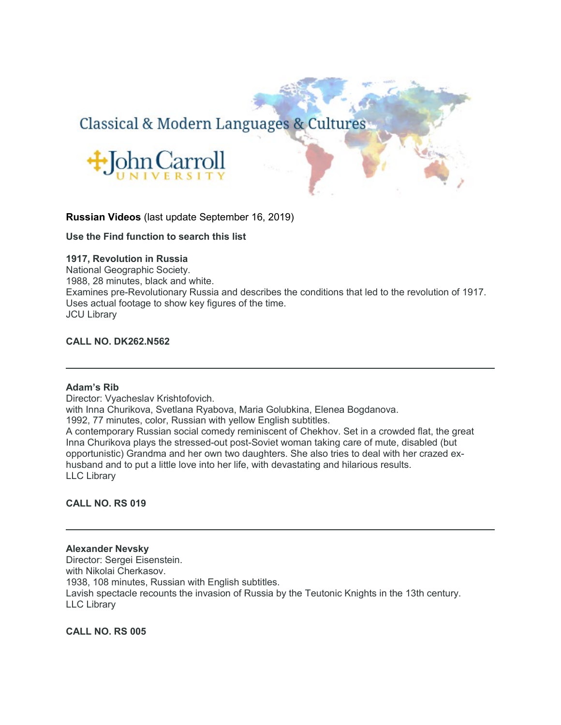# Classical & Modern Languages & Cultures



# **Russian Videos** (last update September 16, 2019)

**Use the Find function to search this list**

# **1917, Revolution in Russia**

National Geographic Society. 1988, 28 minutes, black and white. Examines pre-Revolutionary Russia and describes the conditions that led to the revolution of 1917. Uses actual footage to show key figures of the time. JCU Library

# **CALL NO. DK262.N562**

#### **Adam's Rib**

Director: Vyacheslav Krishtofovich. with Inna Churikova, Svetlana Ryabova, Maria Golubkina, Elenea Bogdanova. 1992, 77 minutes, color, Russian with yellow English subtitles. A contemporary Russian social comedy reminiscent of Chekhov. Set in a crowded flat, the great Inna Churikova plays the stressed-out post-Soviet woman taking care of mute, disabled (but opportunistic) Grandma and her own two daughters. She also tries to deal with her crazed exhusband and to put a little love into her life, with devastating and hilarious results. LLC Library

# **CALL NO. RS 019**

**Alexander Nevsky** Director: Sergei Eisenstein. with Nikolai Cherkasov. 1938, 108 minutes, Russian with English subtitles. Lavish spectacle recounts the invasion of Russia by the Teutonic Knights in the 13th century. LLC Library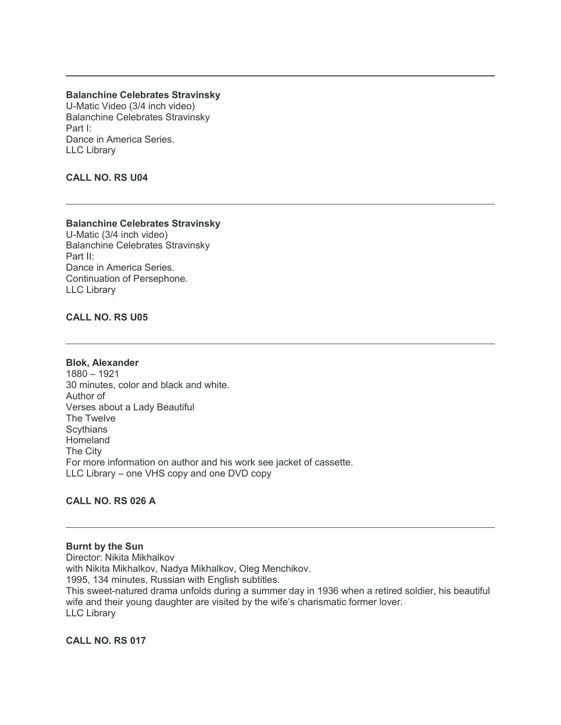# **Balanchine Celebrates Stravinsky**

U-Matic Video (3/4 inch video) Balanchine Celebrates Stravinsky Part I: Dance in America Series. LLC Library

# **CALL NO. RS U04**

# **Balanchine Celebrates Stravinsky**

U-Matic (3/4 inch video) Balanchine Celebrates Stravinsky Part II: Dance in America Series. Continuation of Persephone. LLC Library

# **CALL NO. RS U05**

**Blok, Alexander**

1880 – 1921 30 minutes, color and black and white. Author of Verses about a Lady Beautiful The Twelve **Scythians** Homeland The City For more information on author and his work see jacket of cassette. LLC Library – one VHS copy and one DVD copy

# **CALL NO. RS 026 A**

**Burnt by the Sun** Director: Nikita Mikhalkov with Nikita Mikhalkov, Nadya Mikhalkov, Oleg Menchikov. 1995, 134 minutes, Russian with English subtitles. This sweet-natured drama unfolds during a summer day in 1936 when a retired soldier, his beautiful wife and their young daughter are visited by the wife's charismatic former lover. LLC Library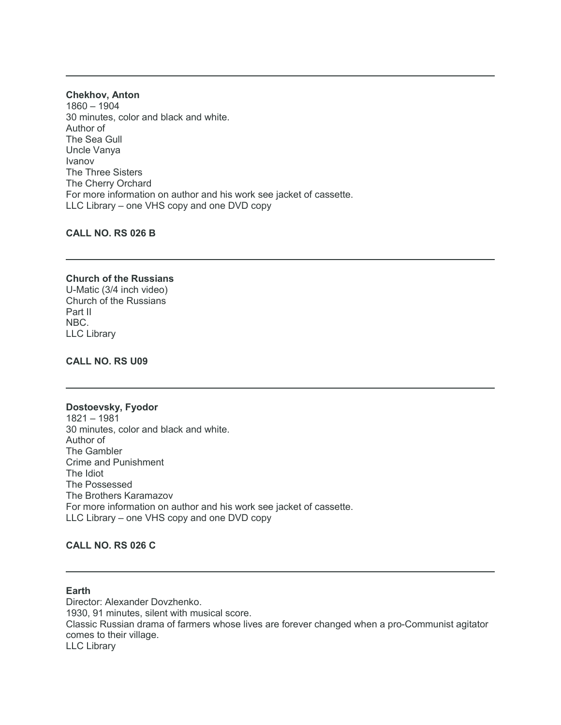**Chekhov, Anton** 1860 – 1904 30 minutes, color and black and white. Author of The Sea Gull Uncle Vanya Ivanov The Three Sisters The Cherry Orchard For more information on author and his work see jacket of cassette. LLC Library – one VHS copy and one DVD copy

**CALL NO. RS 026 B**

#### **Church of the Russians** U-Matic (3/4 inch video) Church of the Russians Part II NBC.

LLC Library

**CALL NO. RS U09**

#### **Dostoevsky, Fyodor**

1821 – 1981 30 minutes, color and black and white. Author of The Gambler Crime and Punishment The Idiot The Possessed The Brothers Karamazov For more information on author and his work see jacket of cassette. LLC Library – one VHS copy and one DVD copy

# **CALL NO. RS 026 C**

# **Earth**

Director: Alexander Dovzhenko. 1930, 91 minutes, silent with musical score. Classic Russian drama of farmers whose lives are forever changed when a pro-Communist agitator comes to their village. LLC Library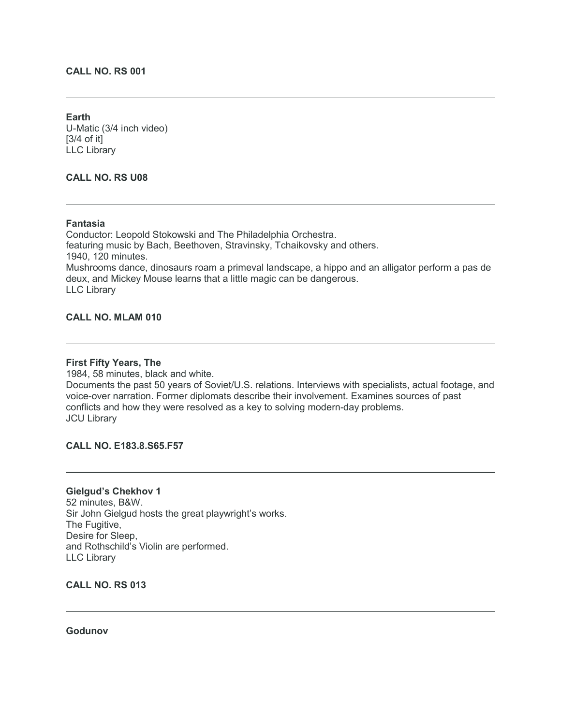# **CALL NO. RS 001**

**Earth** U-Matic (3/4 inch video) [3/4 of it] LLC Library

# **CALL NO. RS U08**

### **Fantasia**

Conductor: Leopold Stokowski and The Philadelphia Orchestra. featuring music by Bach, Beethoven, Stravinsky, Tchaikovsky and others. 1940, 120 minutes. Mushrooms dance, dinosaurs roam a primeval landscape, a hippo and an alligator perform a pas de deux, and Mickey Mouse learns that a little magic can be dangerous. LLC Library

## **CALL NO. MLAM 010**

## **First Fifty Years, The**

1984, 58 minutes, black and white.

Documents the past 50 years of Soviet/U.S. relations. Interviews with specialists, actual footage, and voice-over narration. Former diplomats describe their involvement. Examines sources of past conflicts and how they were resolved as a key to solving modern-day problems. JCU Library

## **CALL NO. E183.8.S65.F57**

# **Gielgud's Chekhov 1** 52 minutes, B&W. Sir John Gielgud hosts the great playwright's works. The Fugitive, Desire for Sleep, and Rothschild's Violin are performed.

**CALL NO. RS 013**

LLC Library

### **Godunov**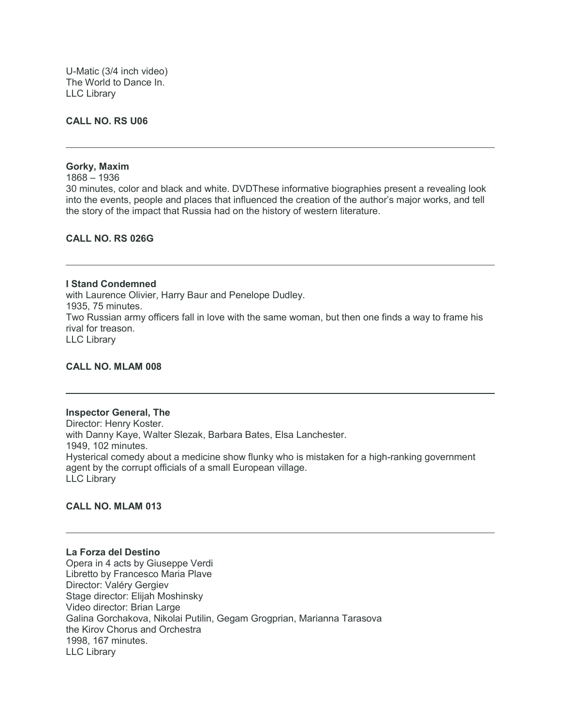U-Matic (3/4 inch video) The World to Dance In. LLC Library

#### **CALL NO. RS U06**

## **Gorky, Maxim**

1868 – 1936

30 minutes, color and black and white. DVDThese informative biographies present a revealing look into the events, people and places that influenced the creation of the author's major works, and tell the story of the impact that Russia had on the history of western literature.

## **CALL NO. RS 026G**

**I Stand Condemned** with Laurence Olivier, Harry Baur and Penelope Dudley. 1935, 75 minutes. Two Russian army officers fall in love with the same woman, but then one finds a way to frame his rival for treason. LLC Library

#### **CALL NO. MLAM 008**

#### **Inspector General, The**

Director: Henry Koster. with Danny Kaye, Walter Slezak, Barbara Bates, Elsa Lanchester. 1949, 102 minutes. Hysterical comedy about a medicine show flunky who is mistaken for a high-ranking government agent by the corrupt officials of a small European village. LLC Library

## **CALL NO. MLAM 013**

## **La Forza del Destino**

Opera in 4 acts by Giuseppe Verdi Libretto by Francesco Maria Plave Director: Valéry Gergiev Stage director: Elijah Moshinsky Video director: Brian Large Galina Gorchakova, Nikolai Putilin, Gegam Grogprian, Marianna Tarasova the Kirov Chorus and Orchestra 1998, 167 minutes. LLC Library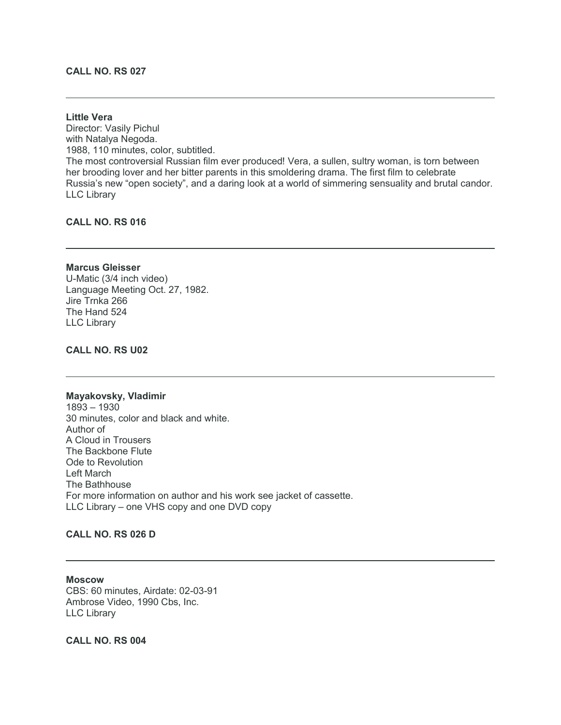# **CALL NO. RS 027**

#### **Little Vera**

Director: Vasily Pichul with Natalya Negoda. 1988, 110 minutes, color, subtitled. The most controversial Russian film ever produced! Vera, a sullen, sultry woman, is torn between her brooding lover and her bitter parents in this smoldering drama. The first film to celebrate Russia's new "open society", and a daring look at a world of simmering sensuality and brutal candor. LLC Library

# **CALL NO. RS 016**

#### **Marcus Gleisser**

U-Matic (3/4 inch video) Language Meeting Oct. 27, 1982. Jire Trnka 266 The Hand 524 LLC Library

## **CALL NO. RS U02**

#### **Mayakovsky, Vladimir**

1893 – 1930 30 minutes, color and black and white. Author of A Cloud in Trousers The Backbone Flute Ode to Revolution Left March The Bathhouse For more information on author and his work see jacket of cassette. LLC Library – one VHS copy and one DVD copy

# **CALL NO. RS 026 D**

**Moscow** CBS: 60 minutes, Airdate: 02-03-91 Ambrose Video, 1990 Cbs, Inc. LLC Library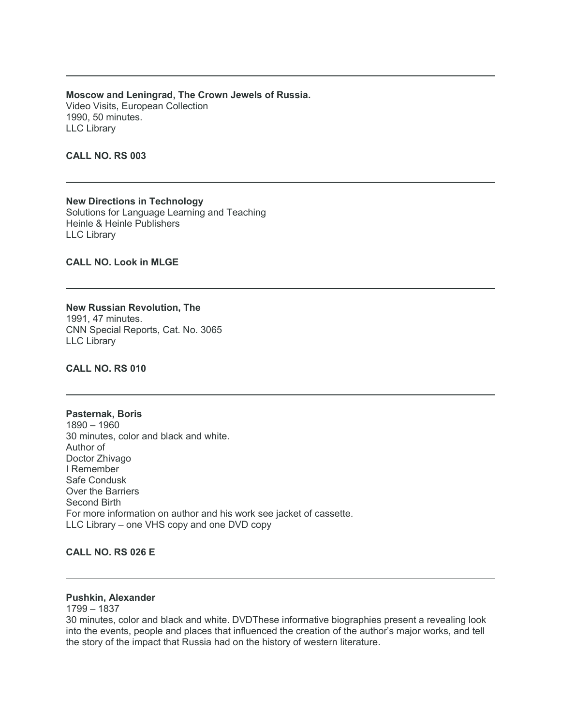**Moscow and Leningrad, The Crown Jewels of Russia.** Video Visits, European Collection 1990, 50 minutes. LLC Library

**CALL NO. RS 003**

**New Directions in Technology** Solutions for Language Learning and Teaching Heinle & Heinle Publishers LLC Library

**CALL NO. Look in MLGE**

**New Russian Revolution, The** 1991, 47 minutes. CNN Special Reports, Cat. No. 3065 LLC Library

**CALL NO. RS 010**

## **Pasternak, Boris** 1890 – 1960 30 minutes, color and black and white. Author of Doctor Zhivago I Remember Safe Condusk Over the Barriers Second Birth For more information on author and his work see jacket of cassette. LLC Library – one VHS copy and one DVD copy

## **CALL NO. RS 026 E**

#### **Pushkin, Alexander**

1799 – 1837

30 minutes, color and black and white. DVDThese informative biographies present a revealing look into the events, people and places that influenced the creation of the author's major works, and tell the story of the impact that Russia had on the history of western literature.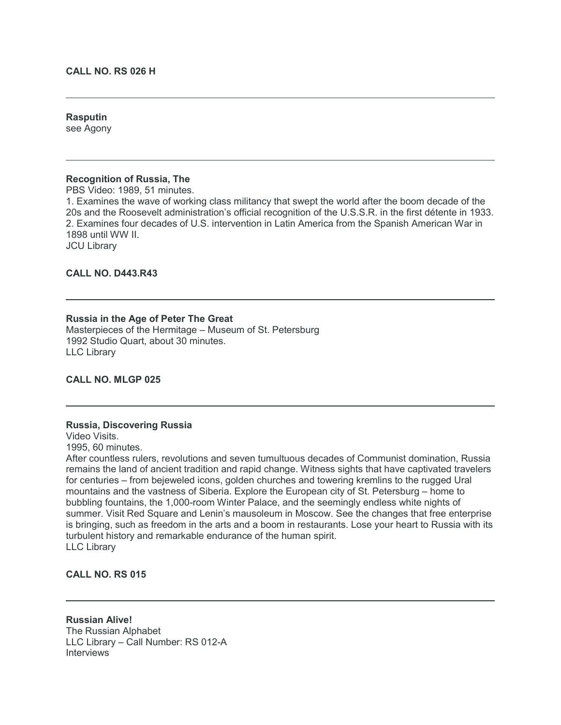#### **CALL NO. RS 026 H**

# **Rasputin**

see Agony

## **Recognition of Russia, The**

PBS Video: 1989, 51 minutes.

1. Examines the wave of working class militancy that swept the world after the boom decade of the 20s and the Roosevelt administration's official recognition of the U.S.S.R. in the first détente in 1933. 2. Examines four decades of U.S. intervention in Latin America from the Spanish American War in 1898 until WW II. JCU Library

**CALL NO. D443.R43**

# **Russia in the Age of Peter The Great**

Masterpieces of the Hermitage – Museum of St. Petersburg 1992 Studio Quart, about 30 minutes. LLC Library

## **CALL NO. MLGP 025**

#### **Russia, Discovering Russia**

Video Visits.

1995, 60 minutes.

After countless rulers, revolutions and seven tumultuous decades of Communist domination, Russia remains the land of ancient tradition and rapid change. Witness sights that have captivated travelers for centuries – from bejeweled icons, golden churches and towering kremlins to the rugged Ural mountains and the vastness of Siberia. Explore the European city of St. Petersburg – home to bubbling fountains, the 1,000-room Winter Palace, and the seemingly endless white nights of summer. Visit Red Square and Lenin's mausoleum in Moscow. See the changes that free enterprise is bringing, such as freedom in the arts and a boom in restaurants. Lose your heart to Russia with its turbulent history and remarkable endurance of the human spirit. LLC Library

**CALL NO. RS 015**

**Russian Alive!** The Russian Alphabet LLC Library – Call Number: RS 012-A **Interviews**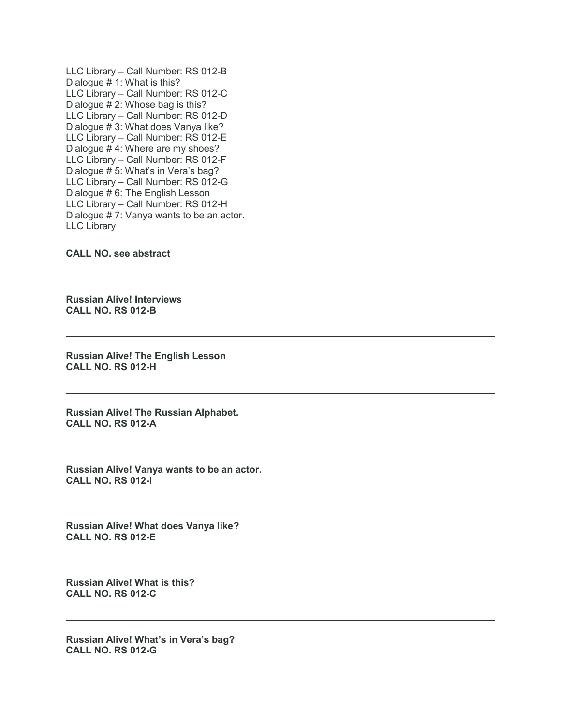LLC Library – Call Number: RS 012-B Dialogue # 1: What is this? LLC Library – Call Number: RS 012-C Dialogue # 2: Whose bag is this? LLC Library – Call Number: RS 012-D Dialogue # 3: What does Vanya like? LLC Library – Call Number: RS 012-E Dialogue # 4: Where are my shoes? LLC Library – Call Number: RS 012-F Dialogue # 5: What's in Vera's bag? LLC Library – Call Number: RS 012-G Dialogue # 6: The English Lesson LLC Library – Call Number: RS 012-H Dialogue # 7: Vanya wants to be an actor. LLC Library

#### **CALL NO. see abstract**

**Russian Alive! Interviews CALL NO. RS 012-B**

**Russian Alive! The English Lesson CALL NO. RS 012-H**

**Russian Alive! The Russian Alphabet. CALL NO. RS 012-A**

**Russian Alive! Vanya wants to be an actor. CALL NO. RS 012-I**

**Russian Alive! What does Vanya like? CALL NO. RS 012-E**

**Russian Alive! What is this? CALL NO. RS 012-C**

**Russian Alive! What's in Vera's bag? CALL NO. RS 012-G**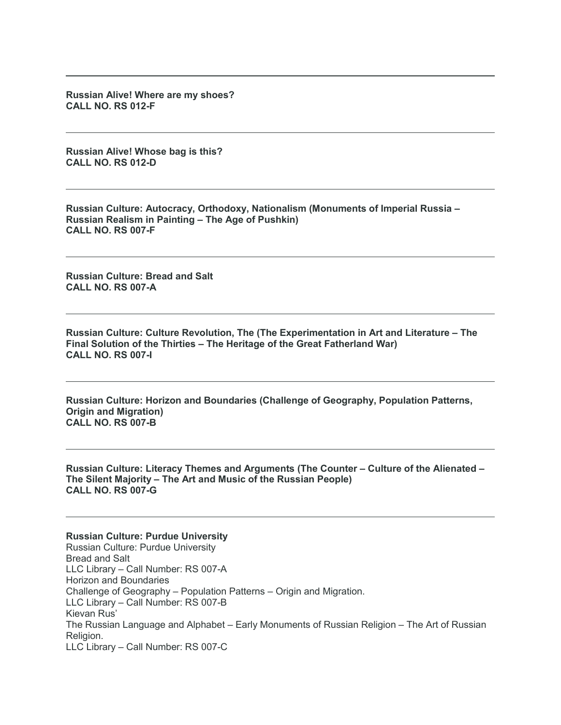**Russian Alive! Where are my shoes? CALL NO. RS 012-F**

**Russian Alive! Whose bag is this? CALL NO. RS 012-D**

**Russian Culture: Autocracy, Orthodoxy, Nationalism (Monuments of Imperial Russia – Russian Realism in Painting – The Age of Pushkin) CALL NO. RS 007-F**

**Russian Culture: Bread and Salt CALL NO. RS 007-A**

**Russian Culture: Culture Revolution, The (The Experimentation in Art and Literature – The Final Solution of the Thirties – The Heritage of the Great Fatherland War) CALL NO. RS 007-I**

**Russian Culture: Horizon and Boundaries (Challenge of Geography, Population Patterns, Origin and Migration) CALL NO. RS 007-B**

**Russian Culture: Literacy Themes and Arguments (The Counter – Culture of the Alienated – The Silent Majority – The Art and Music of the Russian People) CALL NO. RS 007-G**

#### **Russian Culture: Purdue University**

Russian Culture: Purdue University Bread and Salt LLC Library – Call Number: RS 007-A Horizon and Boundaries Challenge of Geography – Population Patterns – Origin and Migration. LLC Library – Call Number: RS 007-B Kievan Rus' The Russian Language and Alphabet – Early Monuments of Russian Religion – The Art of Russian Religion. LLC Library – Call Number: RS 007-C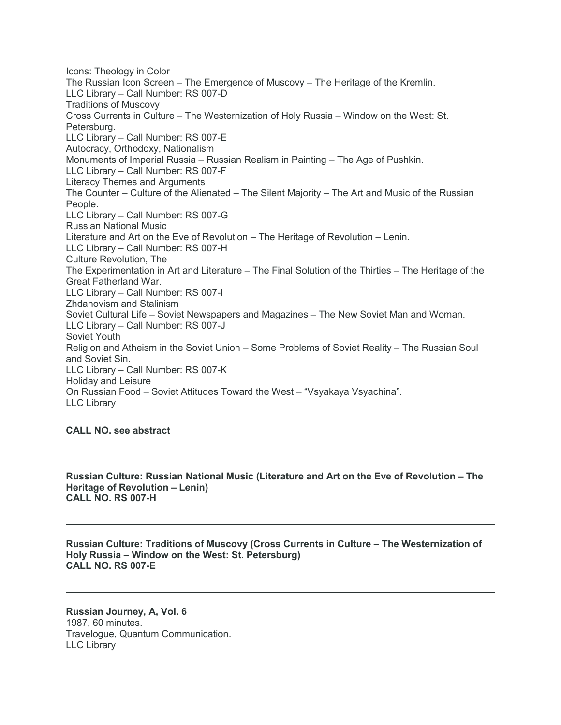Icons: Theology in Color The Russian Icon Screen – The Emergence of Muscovy – The Heritage of the Kremlin. LLC Library – Call Number: RS 007-D Traditions of Muscovy Cross Currents in Culture – The Westernization of Holy Russia – Window on the West: St. Petersburg. LLC Library – Call Number: RS 007-E Autocracy, Orthodoxy, Nationalism Monuments of Imperial Russia – Russian Realism in Painting – The Age of Pushkin. LLC Library – Call Number: RS 007-F Literacy Themes and Arguments The Counter – Culture of the Alienated – The Silent Majority – The Art and Music of the Russian People. LLC Library – Call Number: RS 007-G Russian National Music Literature and Art on the Eve of Revolution – The Heritage of Revolution – Lenin. LLC Library – Call Number: RS 007-H Culture Revolution, The The Experimentation in Art and Literature – The Final Solution of the Thirties – The Heritage of the Great Fatherland War. LLC Library – Call Number: RS 007-I Zhdanovism and Stalinism Soviet Cultural Life – Soviet Newspapers and Magazines – The New Soviet Man and Woman. LLC Library – Call Number: RS 007-J Soviet Youth Religion and Atheism in the Soviet Union – Some Problems of Soviet Reality – The Russian Soul and Soviet Sin. LLC Library – Call Number: RS 007-K Holiday and Leisure On Russian Food – Soviet Attitudes Toward the West – "Vsyakaya Vsyachina". LLC Library

# **CALL NO. see abstract**

**Russian Culture: Russian National Music (Literature and Art on the Eve of Revolution – The Heritage of Revolution – Lenin) CALL NO. RS 007-H**

**Russian Culture: Traditions of Muscovy (Cross Currents in Culture – The Westernization of Holy Russia – Window on the West: St. Petersburg) CALL NO. RS 007-E**

**Russian Journey, A, Vol. 6** 1987, 60 minutes. Travelogue, Quantum Communication. LLC Library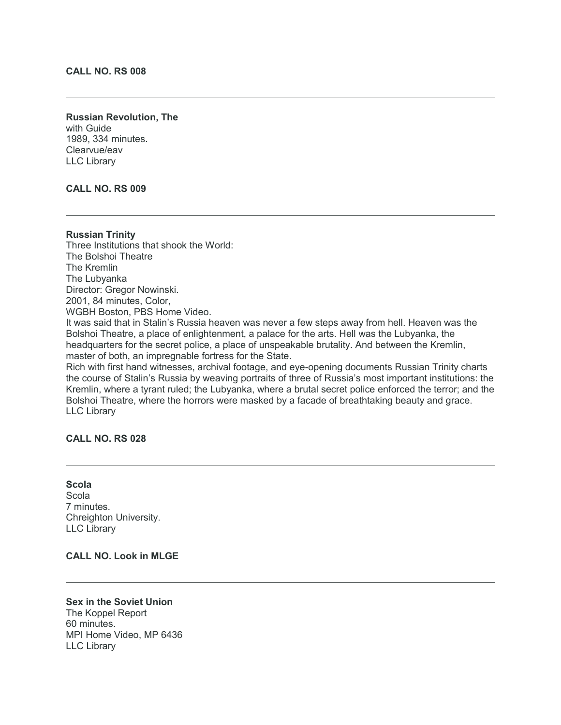# **CALL NO. RS 008**

## **Russian Revolution, The** with Guide 1989, 334 minutes. Clearvue/eav LLC Library

## **CALL NO. RS 009**

# **Russian Trinity** Three Institutions that shook the World: The Bolshoi Theatre The Kremlin The Lubyanka Director: Gregor Nowinski. 2001, 84 minutes, Color, WGBH Boston, PBS Home Video. It was said that in Stalin's Russia heaven was never a few steps away from hell. Heaven was the Bolshoi Theatre, a place of enlightenment, a palace for the arts. Hell was the Lubyanka, the headquarters for the secret police, a place of unspeakable brutality. And between the Kremlin, master of both, an impregnable fortress for the State. Rich with first hand witnesses, archival footage, and eye-opening documents Russian Trinity charts

the course of Stalin's Russia by weaving portraits of three of Russia's most important institutions: the Kremlin, where a tyrant ruled; the Lubyanka, where a brutal secret police enforced the terror; and the Bolshoi Theatre, where the horrors were masked by a facade of breathtaking beauty and grace. LLC Library

# **CALL NO. RS 028**

## **Scola** Scola 7 minutes. Chreighton University. LLC Library

# **CALL NO. Look in MLGE**

**Sex in the Soviet Union** The Koppel Report 60 minutes. MPI Home Video, MP 6436 LLC Library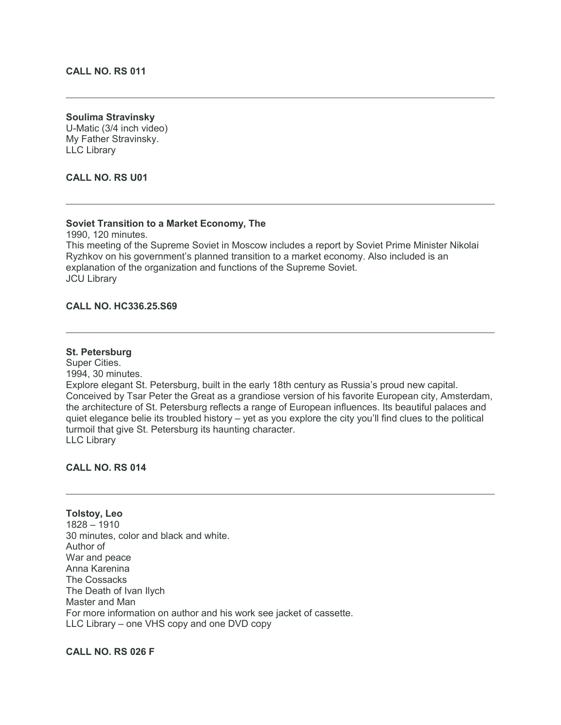## **Soulima Stravinsky**

U-Matic (3/4 inch video) My Father Stravinsky. LLC Library

**CALL NO. RS U01**

## **Soviet Transition to a Market Economy, The**

1990, 120 minutes.

This meeting of the Supreme Soviet in Moscow includes a report by Soviet Prime Minister Nikolai Ryzhkov on his government's planned transition to a market economy. Also included is an explanation of the organization and functions of the Supreme Soviet. JCU Library

## **CALL NO. HC336.25.S69**

# **St. Petersburg**

Super Cities. 1994, 30 minutes. Explore elegant St. Petersburg, built in the early 18th century as Russia's proud new capital. Conceived by Tsar Peter the Great as a grandiose version of his favorite European city, Amsterdam, the architecture of St. Petersburg reflects a range of European influences. Its beautiful palaces and quiet elegance belie its troubled history – yet as you explore the city you'll find clues to the political turmoil that give St. Petersburg its haunting character. LLC Library

## **CALL NO. RS 014**

**Tolstoy, Leo** 1828 – 1910 30 minutes, color and black and white. Author of War and peace Anna Karenina The Cossacks The Death of Ivan Ilych Master and Man For more information on author and his work see jacket of cassette. LLC Library – one VHS copy and one DVD copy

# **CALL NO. RS 026 F**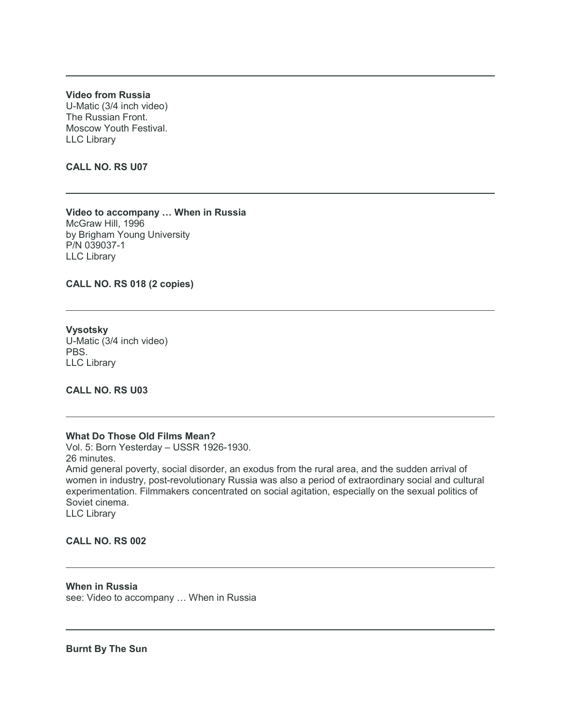**Video from Russia** U-Matic (3/4 inch video) The Russian Front. Moscow Youth Festival. LLC Library

**CALL NO. RS U07**

**Video to accompany … When in Russia** McGraw Hill, 1996 by Brigham Young University P/N 039037-1 LLC Library

**CALL NO. RS 018 (2 copies)**

**Vysotsky** U-Matic (3/4 inch video) PBS. LLC Library

**CALL NO. RS U03**

#### **What Do Those Old Films Mean?**

Vol. 5: Born Yesterday – USSR 1926-1930. 26 minutes. Amid general poverty, social disorder, an exodus from the rural area, and the sudden arrival of women in industry, post-revolutionary Russia was also a period of extraordinary social and cultural experimentation. Filmmakers concentrated on social agitation, especially on the sexual politics of Soviet cinema. LLC Library

#### **CALL NO. RS 002**

**When in Russia** see: Video to accompany … When in Russia

**Burnt By The Sun**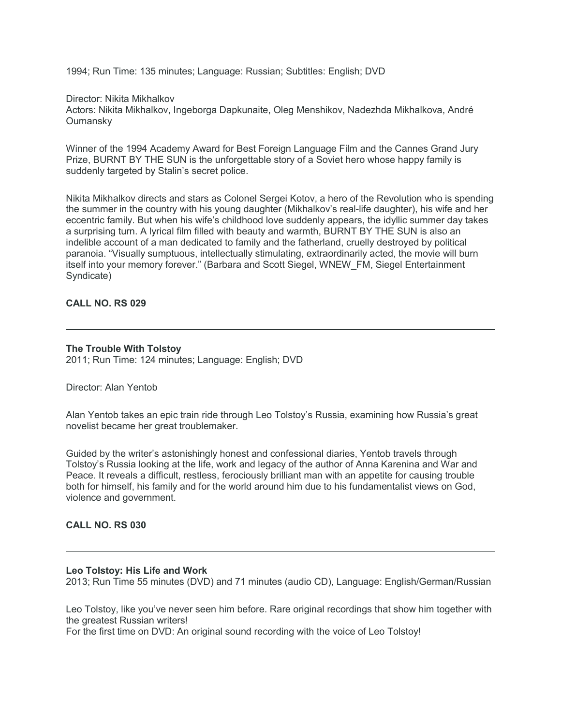1994; Run Time: 135 minutes; Language: Russian; Subtitles: English; DVD

## Director: Nikita Mikhalkov

Actors: Nikita Mikhalkov, Ingeborga Dapkunaite, Oleg Menshikov, Nadezhda Mikhalkova, André **Oumansky** 

Winner of the 1994 Academy Award for Best Foreign Language Film and the Cannes Grand Jury Prize, BURNT BY THE SUN is the unforgettable story of a Soviet hero whose happy family is suddenly targeted by Stalin's secret police.

Nikita Mikhalkov directs and stars as Colonel Sergei Kotov, a hero of the Revolution who is spending the summer in the country with his young daughter (Mikhalkov's real-life daughter), his wife and her eccentric family. But when his wife's childhood love suddenly appears, the idyllic summer day takes a surprising turn. A lyrical film filled with beauty and warmth, BURNT BY THE SUN is also an indelible account of a man dedicated to family and the fatherland, cruelly destroyed by political paranoia. "Visually sumptuous, intellectually stimulating, extraordinarily acted, the movie will burn itself into your memory forever." (Barbara and Scott Siegel, WNEW\_FM, Siegel Entertainment Syndicate)

# **CALL NO. RS 029**

## **The Trouble With Tolstoy**

2011; Run Time: 124 minutes; Language: English; DVD

## Director: Alan Yentob

Alan Yentob takes an epic train ride through Leo Tolstoy's Russia, examining how Russia's great novelist became her great troublemaker.

Guided by the writer's astonishingly honest and confessional diaries, Yentob travels through Tolstoy's Russia looking at the life, work and legacy of the author of Anna Karenina and War and Peace. It reveals a difficult, restless, ferociously brilliant man with an appetite for causing trouble both for himself, his family and for the world around him due to his fundamentalist views on God, violence and government.

#### **CALL NO. RS 030**

#### **Leo Tolstoy: His Life and Work**

2013; Run Time 55 minutes (DVD) and 71 minutes (audio CD), Language: English/German/Russian

Leo Tolstoy, like you've never seen him before. Rare original recordings that show him together with the greatest Russian writers!

For the first time on DVD: An original sound recording with the voice of Leo Tolstoy!